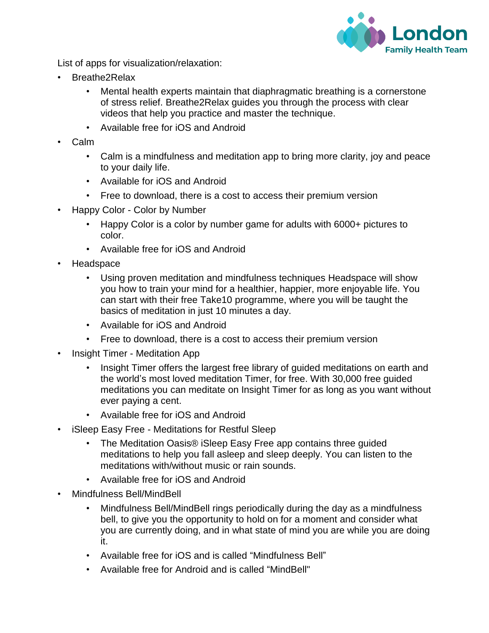

List of apps for visualization/relaxation:

- Breathe2Relax
	- Mental health experts maintain that diaphragmatic breathing is a cornerstone of stress relief. Breathe2Relax guides you through the process with clear videos that help you practice and master the technique.
	- Available free for iOS and Android
- Calm
	- Calm is a mindfulness and meditation app to bring more clarity, joy and peace to your daily life.
	- Available for iOS and Android
	- Free to download, there is a cost to access their premium version
- Happy Color Color by Number
	- Happy Color is a color by number game for adults with 6000+ pictures to color.
	- Available free for iOS and Android
- **Headspace** 
	- Using proven meditation and mindfulness techniques Headspace will show you how to train your mind for a healthier, happier, more enjoyable life. You can start with their free Take10 programme, where you will be taught the basics of meditation in just 10 minutes a day.
	- Available for iOS and Android
	- Free to download, there is a cost to access their premium version
- Insight Timer Meditation App
	- Insight Timer offers the largest free library of guided meditations on earth and the world's most loved meditation Timer, for free. With 30,000 free guided meditations you can meditate on Insight Timer for as long as you want without ever paying a cent.
	- Available free for iOS and Android
- iSleep Easy Free Meditations for Restful Sleep
	- The Meditation Oasis® iSleep Easy Free app contains three guided meditations to help you fall asleep and sleep deeply. You can listen to the meditations with/without music or rain sounds.
	- Available free for iOS and Android
- Mindfulness Bell/MindBell
	- Mindfulness Bell/MindBell rings periodically during the day as a mindfulness bell, to give you the opportunity to hold on for a moment and consider what you are currently doing, and in what state of mind you are while you are doing it.
	- Available free for iOS and is called "Mindfulness Bell"
	- Available free for Android and is called "MindBell"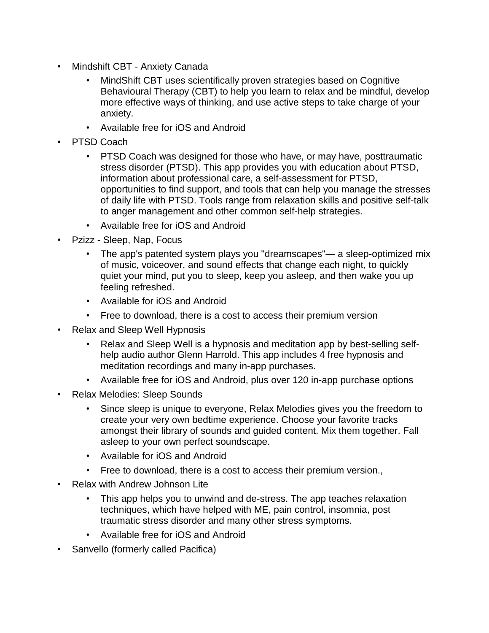- Mindshift CBT Anxiety Canada
	- MindShift CBT uses scientifically proven strategies based on Cognitive Behavioural Therapy (CBT) to help you learn to relax and be mindful, develop more effective ways of thinking, and use active steps to take charge of your anxiety.
	- Available free for iOS and Android
- PTSD Coach
	- PTSD Coach was designed for those who have, or may have, posttraumatic stress disorder (PTSD). This app provides you with education about PTSD, information about professional care, a self-assessment for PTSD, opportunities to find support, and tools that can help you manage the stresses of daily life with PTSD. Tools range from relaxation skills and positive self-talk to anger management and other common self-help strategies.
	- Available free for iOS and Android
- Pzizz Sleep, Nap, Focus
	- The app's patented system plays you "dreamscapes"— a sleep-optimized mix of music, voiceover, and sound effects that change each night, to quickly quiet your mind, put you to sleep, keep you asleep, and then wake you up feeling refreshed.
	- Available for iOS and Android
	- Free to download, there is a cost to access their premium version
- Relax and Sleep Well Hypnosis
	- Relax and Sleep Well is a hypnosis and meditation app by best-selling selfhelp audio author Glenn Harrold. This app includes 4 free hypnosis and meditation recordings and many in-app purchases.
	- Available free for iOS and Android, plus over 120 in-app purchase options
- Relax Melodies: Sleep Sounds
	- Since sleep is unique to everyone, Relax Melodies gives you the freedom to create your very own bedtime experience. Choose your favorite tracks amongst their library of sounds and guided content. Mix them together. Fall asleep to your own perfect soundscape.
	- Available for iOS and Android
	- Free to download, there is a cost to access their premium version.,
- Relax with Andrew Johnson Lite
	- This app helps you to unwind and de-stress. The app teaches relaxation techniques, which have helped with ME, pain control, insomnia, post traumatic stress disorder and many other stress symptoms.
	- Available free for iOS and Android
- Sanvello (formerly called Pacifica)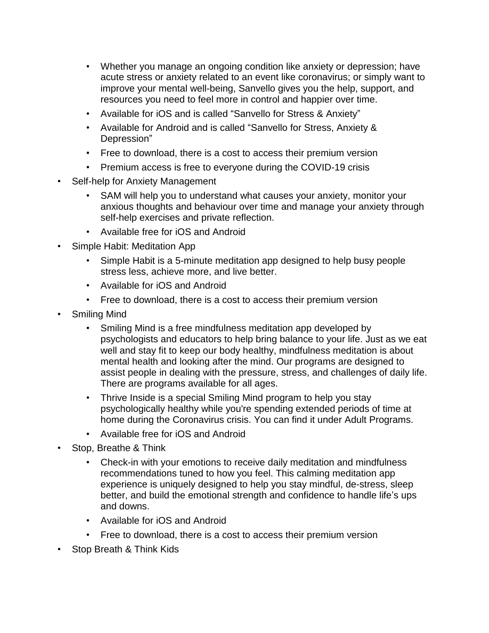- Whether you manage an ongoing condition like anxiety or depression; have acute stress or anxiety related to an event like coronavirus; or simply want to improve your mental well-being, Sanvello gives you the help, support, and resources you need to feel more in control and happier over time.
- Available for iOS and is called "Sanvello for Stress & Anxiety"
- Available for Android and is called "Sanvello for Stress, Anxiety & Depression"
- Free to download, there is a cost to access their premium version
- Premium access is free to everyone during the COVID-19 crisis
- Self-help for Anxiety Management
	- SAM will help you to understand what causes your anxiety, monitor your anxious thoughts and behaviour over time and manage your anxiety through self-help exercises and private reflection.
	- Available free for iOS and Android
- Simple Habit: Meditation App
	- Simple Habit is a 5-minute meditation app designed to help busy people stress less, achieve more, and live better.
	- Available for iOS and Android
	- Free to download, there is a cost to access their premium version
- Smiling Mind
	- Smiling Mind is a free mindfulness meditation app developed by psychologists and educators to help bring balance to your life. Just as we eat well and stay fit to keep our body healthy, mindfulness meditation is about mental health and looking after the mind. Our programs are designed to assist people in dealing with the pressure, stress, and challenges of daily life. There are programs available for all ages.
	- Thrive Inside is a special Smiling Mind program to help you stay psychologically healthy while you're spending extended periods of time at home during the Coronavirus crisis. You can find it under Adult Programs.
	- Available free for iOS and Android
- Stop, Breathe & Think
	- Check-in with your emotions to receive daily meditation and mindfulness recommendations tuned to how you feel. This calming meditation app experience is uniquely designed to help you stay mindful, de-stress, sleep better, and build the emotional strength and confidence to handle life's ups and downs.
	- Available for iOS and Android
	- Free to download, there is a cost to access their premium version
- Stop Breath & Think Kids